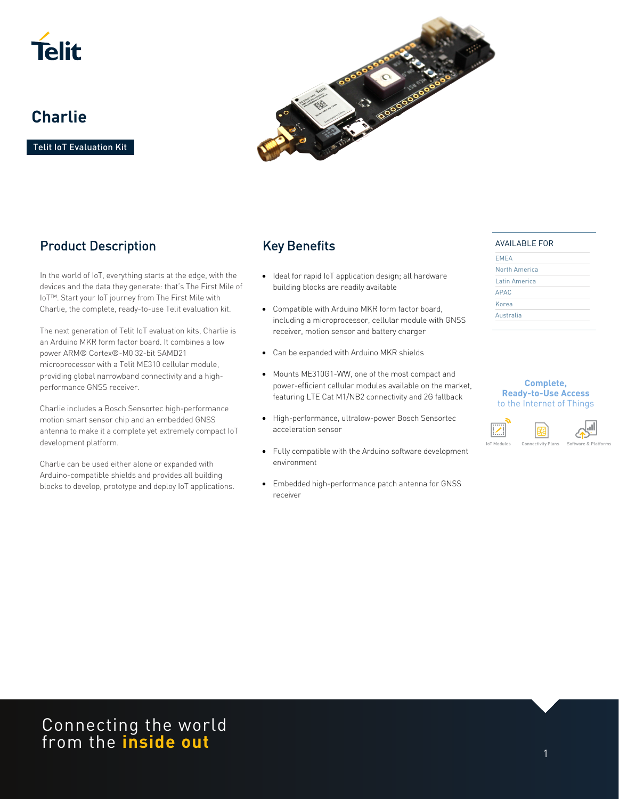

# **Charlie**

Telit IoT Evaluation Kit



## Product Description

In the world of IoT, everything starts at the edge, with the devices and the data they generate: that's The First Mile of IoT™. Start your IoT journey from The First Mile with Charlie, the complete, ready-to-use Telit evaluation kit.

The next generation of Telit IoT evaluation kits, Charlie is an Arduino MKR form factor board. It combines a low power ARM® Cortex®-M0 32-bit SAMD21 microprocessor with a Telit ME310 cellular module, providing global narrowband connectivity and a highperformance GNSS receiver.

Charlie includes a Bosch Sensortec high-performance motion smart sensor chip and an embedded GNSS antenna to make it a complete yet extremely compact IoT development platform.

Charlie can be used either alone or expanded with Arduino-compatible shields and provides all building blocks to develop, prototype and deploy IoT applications.

# Key Benefits

- Ideal for rapid IoT application design; all hardware building blocks are readily available
- Compatible with Arduino MKR form factor board, including a microprocessor, cellular module with GNSS receiver, motion sensor and battery charger
- Can be expanded with Arduino MKR shields
- Mounts ME310G1-WW, one of the most compact and power-efficient cellular modules available on the market, featuring LTE Cat M1/NB2 connectivity and 2G fallback
- High-performance, ultralow-power Bosch Sensortec acceleration sensor
- Fully compatible with the Arduino software development environment
- Embedded high-performance patch antenna for GNSS receiver

#### AVAILABLE FOR

| North America |  |
|---------------|--|
| Latin America |  |
| <b>APAC</b>   |  |
| Korea         |  |
| Australia     |  |

#### **Complete, Ready-to-Use Access**  to the Internet of Things



Connecting the world from the **inside out**